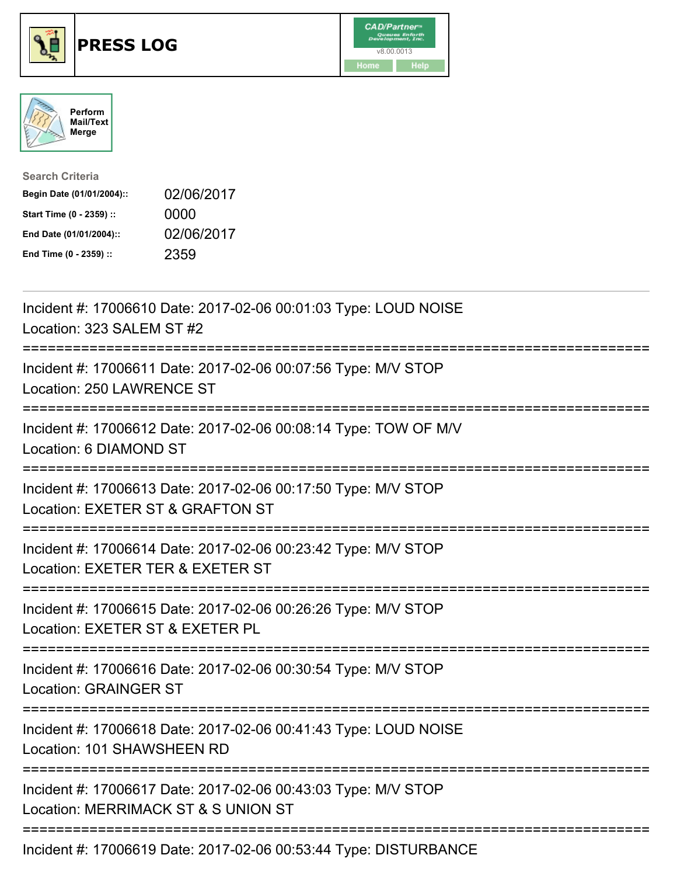





| <b>Search Criteria</b>    |            |
|---------------------------|------------|
| Begin Date (01/01/2004):: | 02/06/2017 |
| Start Time (0 - 2359) ::  | 0000       |
| End Date (01/01/2004)::   | 02/06/2017 |
| End Time (0 - 2359) ::    | 2359       |

| Incident #: 17006610 Date: 2017-02-06 00:01:03 Type: LOUD NOISE<br>Location: 323 SALEM ST #2<br>============                   |
|--------------------------------------------------------------------------------------------------------------------------------|
| Incident #: 17006611 Date: 2017-02-06 00:07:56 Type: M/V STOP<br>Location: 250 LAWRENCE ST                                     |
| Incident #: 17006612 Date: 2017-02-06 00:08:14 Type: TOW OF M/V<br>Location: 6 DIAMOND ST<br>----------                        |
| Incident #: 17006613 Date: 2017-02-06 00:17:50 Type: M/V STOP<br>Location: EXETER ST & GRAFTON ST                              |
| Incident #: 17006614 Date: 2017-02-06 00:23:42 Type: M/V STOP<br>Location: EXETER TER & EXETER ST                              |
| Incident #: 17006615 Date: 2017-02-06 00:26:26 Type: M/V STOP<br>Location: EXETER ST & EXETER PL<br>========================== |
| Incident #: 17006616 Date: 2017-02-06 00:30:54 Type: M/V STOP<br><b>Location: GRAINGER ST</b>                                  |
| Incident #: 17006618 Date: 2017-02-06 00:41:43 Type: LOUD NOISE<br>Location: 101 SHAWSHEEN RD                                  |
| ---------------------<br>Incident #: 17006617 Date: 2017-02-06 00:43:03 Type: M/V STOP<br>Location: MERRIMACK ST & S UNION ST  |
| Incident #: 17006619 Date: 2017-02-06 00:53:44 Type: DISTURBANCE                                                               |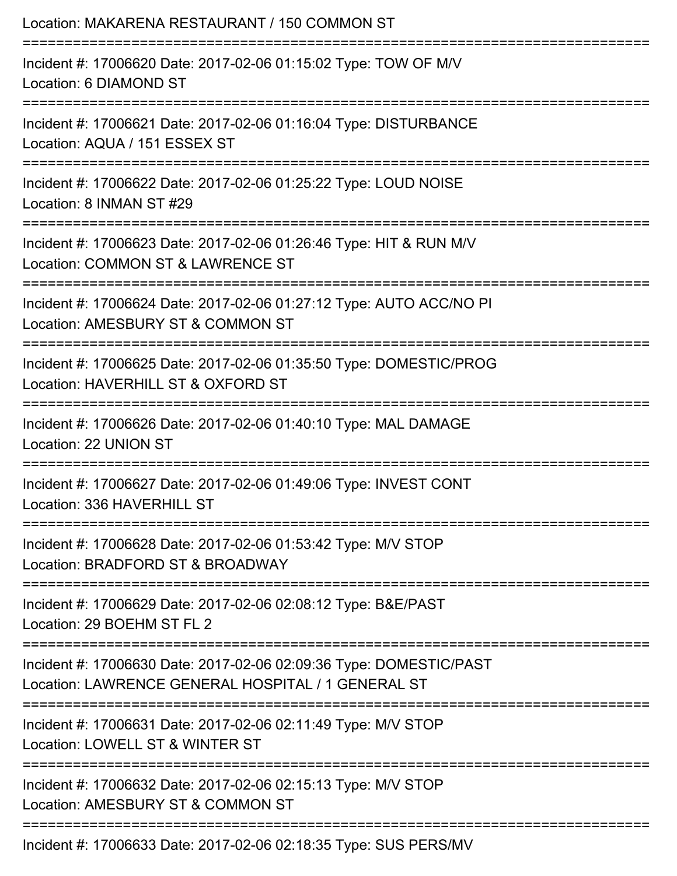| Location: MAKARENA RESTAURANT / 150 COMMON ST                                                                            |
|--------------------------------------------------------------------------------------------------------------------------|
| Incident #: 17006620 Date: 2017-02-06 01:15:02 Type: TOW OF M/V<br>Location: 6 DIAMOND ST                                |
| Incident #: 17006621 Date: 2017-02-06 01:16:04 Type: DISTURBANCE<br>Location: AQUA / 151 ESSEX ST                        |
| Incident #: 17006622 Date: 2017-02-06 01:25:22 Type: LOUD NOISE<br>Location: 8 INMAN ST #29                              |
| Incident #: 17006623 Date: 2017-02-06 01:26:46 Type: HIT & RUN M/V<br>Location: COMMON ST & LAWRENCE ST                  |
| Incident #: 17006624 Date: 2017-02-06 01:27:12 Type: AUTO ACC/NO PI<br>Location: AMESBURY ST & COMMON ST                 |
| Incident #: 17006625 Date: 2017-02-06 01:35:50 Type: DOMESTIC/PROG<br>Location: HAVERHILL ST & OXFORD ST                 |
| Incident #: 17006626 Date: 2017-02-06 01:40:10 Type: MAL DAMAGE<br>Location: 22 UNION ST                                 |
| Incident #: 17006627 Date: 2017-02-06 01:49:06 Type: INVEST CONT<br>Location: 336 HAVERHILL ST                           |
| Incident #: 17006628 Date: 2017-02-06 01:53:42 Type: M/V STOP<br>Location: BRADFORD ST & BROADWAY                        |
| Incident #: 17006629 Date: 2017-02-06 02:08:12 Type: B&E/PAST<br>Location: 29 BOEHM ST FL 2                              |
| Incident #: 17006630 Date: 2017-02-06 02:09:36 Type: DOMESTIC/PAST<br>Location: LAWRENCE GENERAL HOSPITAL / 1 GENERAL ST |
| Incident #: 17006631 Date: 2017-02-06 02:11:49 Type: M/V STOP<br>Location: LOWELL ST & WINTER ST                         |
| Incident #: 17006632 Date: 2017-02-06 02:15:13 Type: M/V STOP<br>Location: AMESBURY ST & COMMON ST                       |
| Incident #: 17006633 Date: 2017-02-06 02:18:35 Type: SUS PERS/MV                                                         |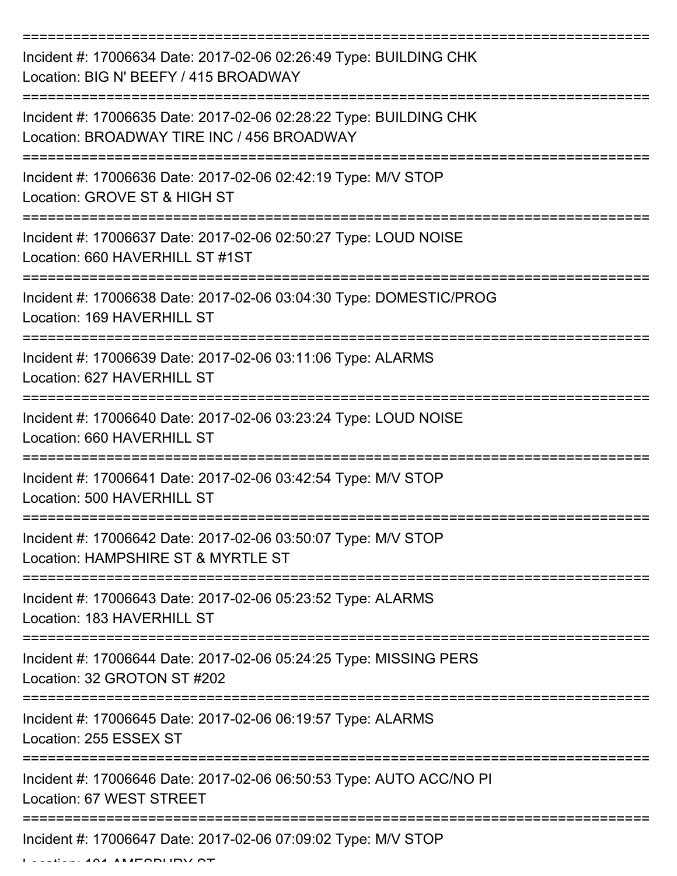| Incident #: 17006634 Date: 2017-02-06 02:26:49 Type: BUILDING CHK<br>Location: BIG N' BEEFY / 415 BROADWAY      |
|-----------------------------------------------------------------------------------------------------------------|
| Incident #: 17006635 Date: 2017-02-06 02:28:22 Type: BUILDING CHK<br>Location: BROADWAY TIRE INC / 456 BROADWAY |
| Incident #: 17006636 Date: 2017-02-06 02:42:19 Type: M/V STOP<br>Location: GROVE ST & HIGH ST                   |
| Incident #: 17006637 Date: 2017-02-06 02:50:27 Type: LOUD NOISE<br>Location: 660 HAVERHILL ST #1ST              |
| Incident #: 17006638 Date: 2017-02-06 03:04:30 Type: DOMESTIC/PROG<br>Location: 169 HAVERHILL ST                |
| Incident #: 17006639 Date: 2017-02-06 03:11:06 Type: ALARMS<br>Location: 627 HAVERHILL ST                       |
| Incident #: 17006640 Date: 2017-02-06 03:23:24 Type: LOUD NOISE<br>Location: 660 HAVERHILL ST                   |
| Incident #: 17006641 Date: 2017-02-06 03:42:54 Type: M/V STOP<br>Location: 500 HAVERHILL ST                     |
| Incident #: 17006642 Date: 2017-02-06 03:50:07 Type: M/V STOP<br>Location: HAMPSHIRE ST & MYRTLE ST             |
| Incident #: 17006643 Date: 2017-02-06 05:23:52 Type: ALARMS<br>Location: 183 HAVERHILL ST                       |
| Incident #: 17006644 Date: 2017-02-06 05:24:25 Type: MISSING PERS<br>Location: 32 GROTON ST #202                |
| Incident #: 17006645 Date: 2017-02-06 06:19:57 Type: ALARMS<br>Location: 255 ESSEX ST                           |
| Incident #: 17006646 Date: 2017-02-06 06:50:53 Type: AUTO ACC/NO PI<br>Location: 67 WEST STREET                 |
| Incident #: 17006647 Date: 2017-02-06 07:09:02 Type: M/V STOP                                                   |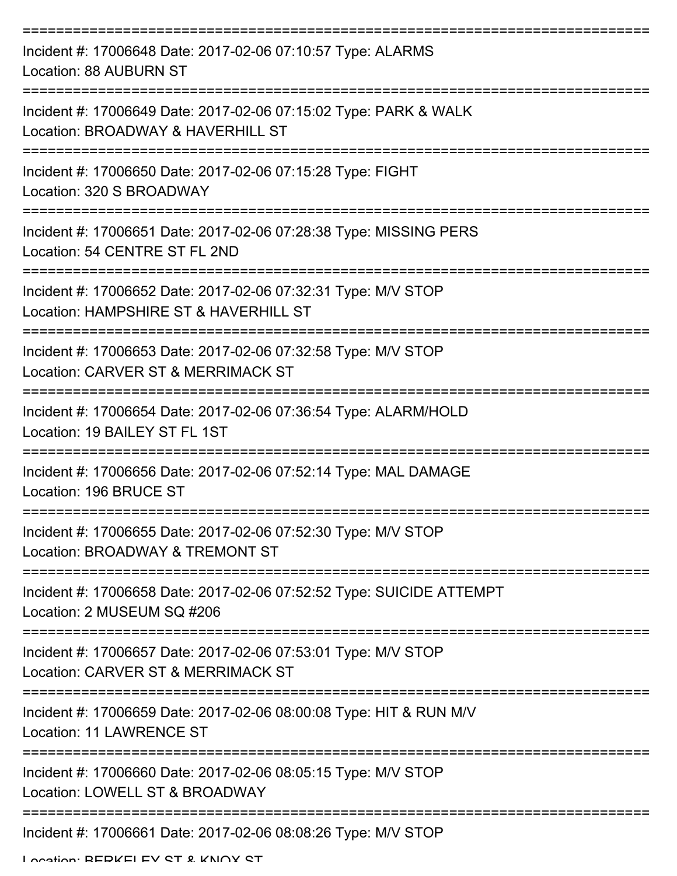| Incident #: 17006648 Date: 2017-02-06 07:10:57 Type: ALARMS<br>Location: 88 AUBURN ST                  |
|--------------------------------------------------------------------------------------------------------|
| Incident #: 17006649 Date: 2017-02-06 07:15:02 Type: PARK & WALK<br>Location: BROADWAY & HAVERHILL ST  |
| Incident #: 17006650 Date: 2017-02-06 07:15:28 Type: FIGHT<br>Location: 320 S BROADWAY                 |
| Incident #: 17006651 Date: 2017-02-06 07:28:38 Type: MISSING PERS<br>Location: 54 CENTRE ST FL 2ND     |
| Incident #: 17006652 Date: 2017-02-06 07:32:31 Type: M/V STOP<br>Location: HAMPSHIRE ST & HAVERHILL ST |
| Incident #: 17006653 Date: 2017-02-06 07:32:58 Type: M/V STOP<br>Location: CARVER ST & MERRIMACK ST    |
| Incident #: 17006654 Date: 2017-02-06 07:36:54 Type: ALARM/HOLD<br>Location: 19 BAILEY ST FL 1ST       |
| Incident #: 17006656 Date: 2017-02-06 07:52:14 Type: MAL DAMAGE<br>Location: 196 BRUCE ST              |
| Incident #: 17006655 Date: 2017-02-06 07:52:30 Type: M/V STOP<br>Location: BROADWAY & TREMONT ST       |
| Incident #: 17006658 Date: 2017-02-06 07:52:52 Type: SUICIDE ATTEMPT<br>Location: 2 MUSEUM SQ #206     |
| Incident #: 17006657 Date: 2017-02-06 07:53:01 Type: M/V STOP<br>Location: CARVER ST & MERRIMACK ST    |
| Incident #: 17006659 Date: 2017-02-06 08:00:08 Type: HIT & RUN M/V<br>Location: 11 LAWRENCE ST         |
| Incident #: 17006660 Date: 2017-02-06 08:05:15 Type: M/V STOP<br>Location: LOWELL ST & BROADWAY        |
| Incident #: 17006661 Date: 2017-02-06 08:08:26 Type: M/V STOP                                          |

Location: BEDKELEV CT & KNOY CT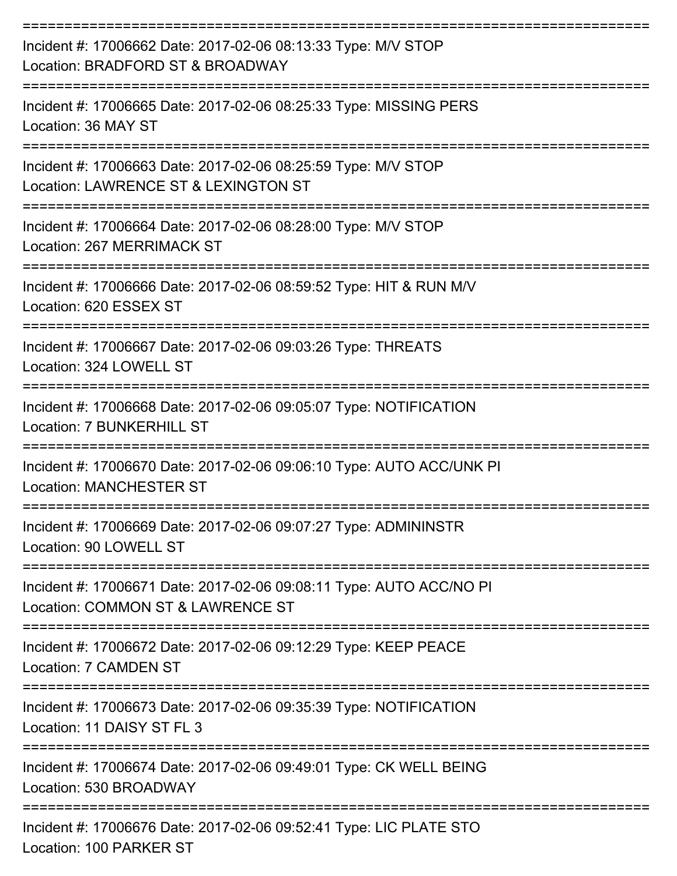| Incident #: 17006662 Date: 2017-02-06 08:13:33 Type: M/V STOP<br>Location: BRADFORD ST & BROADWAY        |
|----------------------------------------------------------------------------------------------------------|
| Incident #: 17006665 Date: 2017-02-06 08:25:33 Type: MISSING PERS<br>Location: 36 MAY ST                 |
| Incident #: 17006663 Date: 2017-02-06 08:25:59 Type: M/V STOP<br>Location: LAWRENCE ST & LEXINGTON ST    |
| Incident #: 17006664 Date: 2017-02-06 08:28:00 Type: M/V STOP<br>Location: 267 MERRIMACK ST              |
| Incident #: 17006666 Date: 2017-02-06 08:59:52 Type: HIT & RUN M/V<br>Location: 620 ESSEX ST             |
| Incident #: 17006667 Date: 2017-02-06 09:03:26 Type: THREATS<br>Location: 324 LOWELL ST                  |
| Incident #: 17006668 Date: 2017-02-06 09:05:07 Type: NOTIFICATION<br><b>Location: 7 BUNKERHILL ST</b>    |
| Incident #: 17006670 Date: 2017-02-06 09:06:10 Type: AUTO ACC/UNK PI<br><b>Location: MANCHESTER ST</b>   |
| Incident #: 17006669 Date: 2017-02-06 09:07:27 Type: ADMININSTR<br>Location: 90 LOWELL ST                |
| Incident #: 17006671 Date: 2017-02-06 09:08:11 Type: AUTO ACC/NO PI<br>Location: COMMON ST & LAWRENCE ST |
| Incident #: 17006672 Date: 2017-02-06 09:12:29 Type: KEEP PEACE<br><b>Location: 7 CAMDEN ST</b>          |
| Incident #: 17006673 Date: 2017-02-06 09:35:39 Type: NOTIFICATION<br>Location: 11 DAISY ST FL 3          |
| Incident #: 17006674 Date: 2017-02-06 09:49:01 Type: CK WELL BEING<br>Location: 530 BROADWAY             |
| Incident #: 17006676 Date: 2017-02-06 09:52:41 Type: LIC PLATE STO<br>Location: 100 PARKER ST            |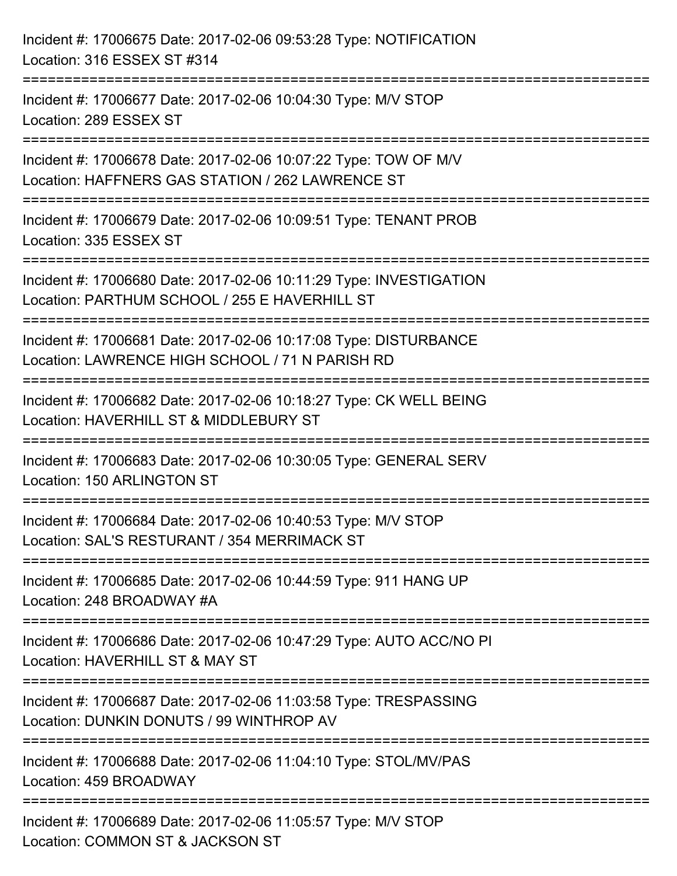| Incident #: 17006675 Date: 2017-02-06 09:53:28 Type: NOTIFICATION<br>Location: 316 ESSEX ST #314                                 |
|----------------------------------------------------------------------------------------------------------------------------------|
| Incident #: 17006677 Date: 2017-02-06 10:04:30 Type: M/V STOP<br>Location: 289 ESSEX ST                                          |
| Incident #: 17006678 Date: 2017-02-06 10:07:22 Type: TOW OF M/V<br>Location: HAFFNERS GAS STATION / 262 LAWRENCE ST              |
| ==================================<br>Incident #: 17006679 Date: 2017-02-06 10:09:51 Type: TENANT PROB<br>Location: 335 ESSEX ST |
| Incident #: 17006680 Date: 2017-02-06 10:11:29 Type: INVESTIGATION<br>Location: PARTHUM SCHOOL / 255 E HAVERHILL ST              |
| Incident #: 17006681 Date: 2017-02-06 10:17:08 Type: DISTURBANCE<br>Location: LAWRENCE HIGH SCHOOL / 71 N PARISH RD              |
| Incident #: 17006682 Date: 2017-02-06 10:18:27 Type: CK WELL BEING<br>Location: HAVERHILL ST & MIDDLEBURY ST                     |
| Incident #: 17006683 Date: 2017-02-06 10:30:05 Type: GENERAL SERV<br>Location: 150 ARLINGTON ST                                  |
| Incident #: 17006684 Date: 2017-02-06 10:40:53 Type: M/V STOP<br>Location: SAL'S RESTURANT / 354 MERRIMACK ST                    |
| Incident #: 17006685 Date: 2017-02-06 10:44:59 Type: 911 HANG UP<br>Location: 248 BROADWAY #A                                    |
| Incident #: 17006686 Date: 2017-02-06 10:47:29 Type: AUTO ACC/NO PI<br>Location: HAVERHILL ST & MAY ST                           |
| Incident #: 17006687 Date: 2017-02-06 11:03:58 Type: TRESPASSING<br>Location: DUNKIN DONUTS / 99 WINTHROP AV                     |
| Incident #: 17006688 Date: 2017-02-06 11:04:10 Type: STOL/MV/PAS<br>Location: 459 BROADWAY                                       |
| Incident #: 17006689 Date: 2017-02-06 11:05:57 Type: M/V STOP<br>Location: COMMON ST & JACKSON ST                                |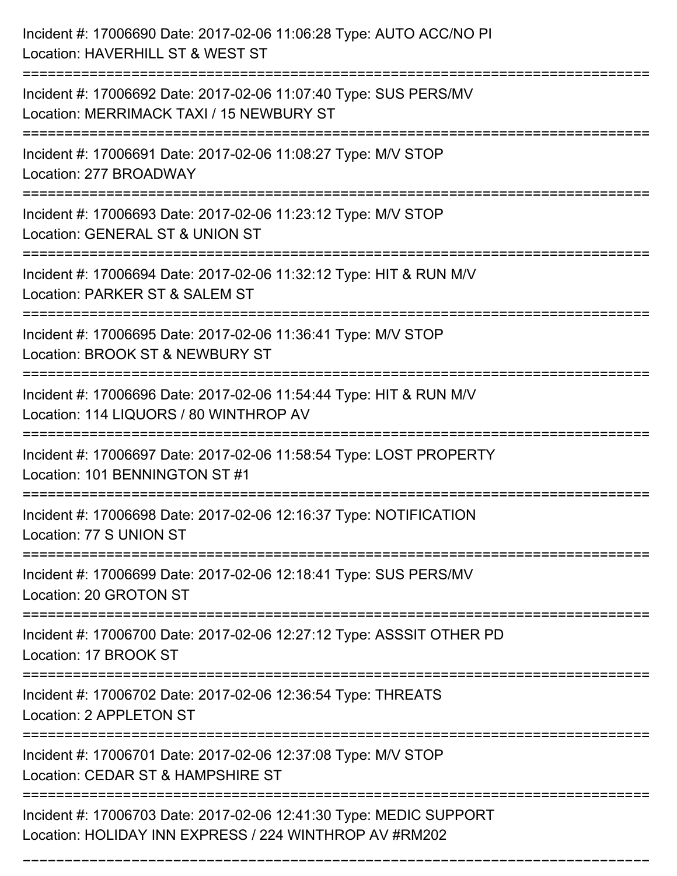| Incident #: 17006690 Date: 2017-02-06 11:06:28 Type: AUTO ACC/NO PI<br>Location: HAVERHILL ST & WEST ST                                |
|----------------------------------------------------------------------------------------------------------------------------------------|
| ======================<br>Incident #: 17006692 Date: 2017-02-06 11:07:40 Type: SUS PERS/MV<br>Location: MERRIMACK TAXI / 15 NEWBURY ST |
| Incident #: 17006691 Date: 2017-02-06 11:08:27 Type: M/V STOP<br>Location: 277 BROADWAY<br>:=============================              |
| Incident #: 17006693 Date: 2017-02-06 11:23:12 Type: M/V STOP<br>Location: GENERAL ST & UNION ST                                       |
| Incident #: 17006694 Date: 2017-02-06 11:32:12 Type: HIT & RUN M/V<br>Location: PARKER ST & SALEM ST                                   |
| Incident #: 17006695 Date: 2017-02-06 11:36:41 Type: M/V STOP<br>Location: BROOK ST & NEWBURY ST                                       |
| Incident #: 17006696 Date: 2017-02-06 11:54:44 Type: HIT & RUN M/V<br>Location: 114 LIQUORS / 80 WINTHROP AV                           |
| Incident #: 17006697 Date: 2017-02-06 11:58:54 Type: LOST PROPERTY<br>Location: 101 BENNINGTON ST #1                                   |
| Incident #: 17006698 Date: 2017-02-06 12:16:37 Type: NOTIFICATION<br>Location: 77 S UNION ST                                           |
| Incident #: 17006699 Date: 2017-02-06 12:18:41 Type: SUS PERS/MV<br>Location: 20 GROTON ST<br>-------------------------                |
| Incident #: 17006700 Date: 2017-02-06 12:27:12 Type: ASSSIT OTHER PD<br>Location: 17 BROOK ST                                          |
| Incident #: 17006702 Date: 2017-02-06 12:36:54 Type: THREATS<br>Location: 2 APPLETON ST                                                |
| Incident #: 17006701 Date: 2017-02-06 12:37:08 Type: M/V STOP<br>Location: CEDAR ST & HAMPSHIRE ST                                     |
| Incident #: 17006703 Date: 2017-02-06 12:41:30 Type: MEDIC SUPPORT<br>Location: HOLIDAY INN EXPRESS / 224 WINTHROP AV #RM202           |

===========================================================================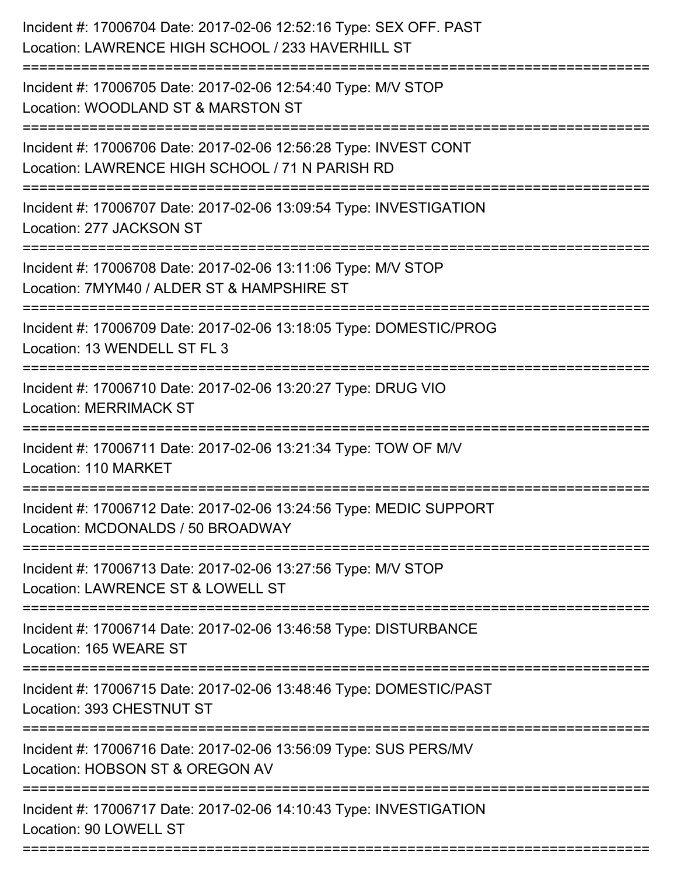| Incident #: 17006704 Date: 2017-02-06 12:52:16 Type: SEX OFF. PAST<br>Location: LAWRENCE HIGH SCHOOL / 233 HAVERHILL ST                  |
|------------------------------------------------------------------------------------------------------------------------------------------|
| Incident #: 17006705 Date: 2017-02-06 12:54:40 Type: M/V STOP<br>Location: WOODLAND ST & MARSTON ST                                      |
| Incident #: 17006706 Date: 2017-02-06 12:56:28 Type: INVEST CONT<br>Location: LAWRENCE HIGH SCHOOL / 71 N PARISH RD<br>----------------- |
| Incident #: 17006707 Date: 2017-02-06 13:09:54 Type: INVESTIGATION<br>Location: 277 JACKSON ST                                           |
| Incident #: 17006708 Date: 2017-02-06 13:11:06 Type: M/V STOP<br>Location: 7MYM40 / ALDER ST & HAMPSHIRE ST                              |
| Incident #: 17006709 Date: 2017-02-06 13:18:05 Type: DOMESTIC/PROG<br>Location: 13 WENDELL ST FL 3                                       |
| Incident #: 17006710 Date: 2017-02-06 13:20:27 Type: DRUG VIO<br><b>Location: MERRIMACK ST</b>                                           |
| Incident #: 17006711 Date: 2017-02-06 13:21:34 Type: TOW OF M/V<br>Location: 110 MARKET                                                  |
| Incident #: 17006712 Date: 2017-02-06 13:24:56 Type: MEDIC SUPPORT<br>Location: MCDONALDS / 50 BROADWAY                                  |
| Incident #: 17006713 Date: 2017-02-06 13:27:56 Type: M/V STOP<br>Location: LAWRENCE ST & LOWELL ST                                       |
| Incident #: 17006714 Date: 2017-02-06 13:46:58 Type: DISTURBANCE<br>Location: 165 WEARE ST                                               |
| Incident #: 17006715 Date: 2017-02-06 13:48:46 Type: DOMESTIC/PAST<br>Location: 393 CHESTNUT ST                                          |
| Incident #: 17006716 Date: 2017-02-06 13:56:09 Type: SUS PERS/MV<br>Location: HOBSON ST & OREGON AV                                      |
| Incident #: 17006717 Date: 2017-02-06 14:10:43 Type: INVESTIGATION<br>Location: 90 LOWELL ST                                             |
|                                                                                                                                          |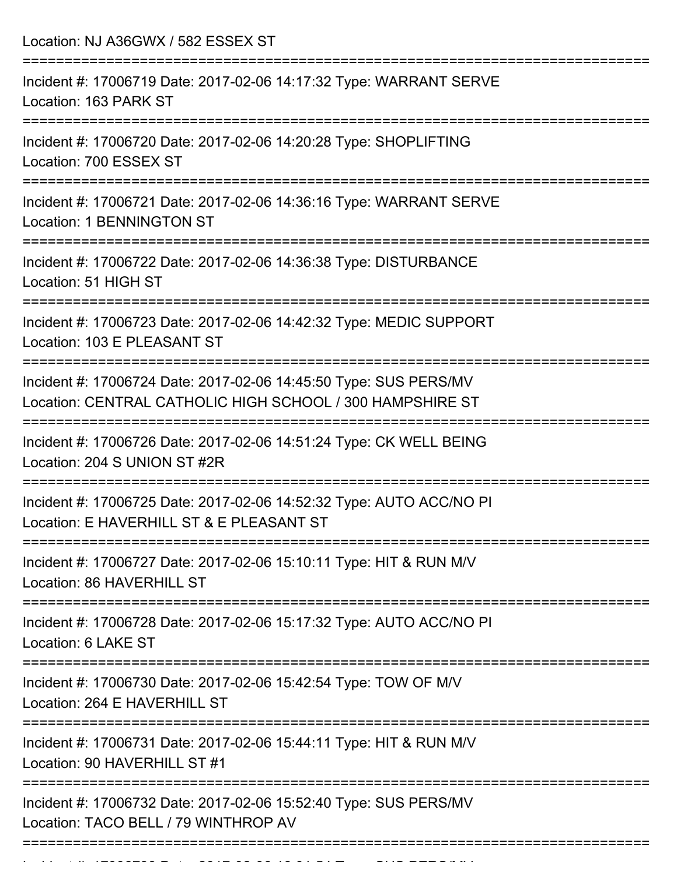| Location: NJ A36GWX / 582 ESSEX ST                                                                                            |
|-------------------------------------------------------------------------------------------------------------------------------|
| Incident #: 17006719 Date: 2017-02-06 14:17:32 Type: WARRANT SERVE<br>Location: 163 PARK ST                                   |
| Incident #: 17006720 Date: 2017-02-06 14:20:28 Type: SHOPLIFTING<br>Location: 700 ESSEX ST                                    |
| Incident #: 17006721 Date: 2017-02-06 14:36:16 Type: WARRANT SERVE<br><b>Location: 1 BENNINGTON ST</b>                        |
| Incident #: 17006722 Date: 2017-02-06 14:36:38 Type: DISTURBANCE<br>Location: 51 HIGH ST                                      |
| Incident #: 17006723 Date: 2017-02-06 14:42:32 Type: MEDIC SUPPORT<br>Location: 103 E PLEASANT ST                             |
| Incident #: 17006724 Date: 2017-02-06 14:45:50 Type: SUS PERS/MV<br>Location: CENTRAL CATHOLIC HIGH SCHOOL / 300 HAMPSHIRE ST |
| Incident #: 17006726 Date: 2017-02-06 14:51:24 Type: CK WELL BEING<br>Location: 204 S UNION ST #2R                            |
| Incident #: 17006725 Date: 2017-02-06 14:52:32 Type: AUTO ACC/NO PI<br>Location: E HAVERHILL ST & E PLEASANT ST               |
| Incident #: 17006727 Date: 2017-02-06 15:10:11 Type: HIT & RUN M/V<br>Location: 86 HAVERHILL ST                               |
| Incident #: 17006728 Date: 2017-02-06 15:17:32 Type: AUTO ACC/NO PI<br>Location: 6 LAKE ST                                    |
| Incident #: 17006730 Date: 2017-02-06 15:42:54 Type: TOW OF M/V<br>Location: 264 E HAVERHILL ST                               |
| Incident #: 17006731 Date: 2017-02-06 15:44:11 Type: HIT & RUN M/V<br>Location: 90 HAVERHILL ST #1                            |
| Incident #: 17006732 Date: 2017-02-06 15:52:40 Type: SUS PERS/MV<br>Location: TACO BELL / 79 WINTHROP AV                      |
|                                                                                                                               |

Incident #: 17006733 Date: 2017 02 06 16:01:54 Type: SUS PERS/MV<br>|-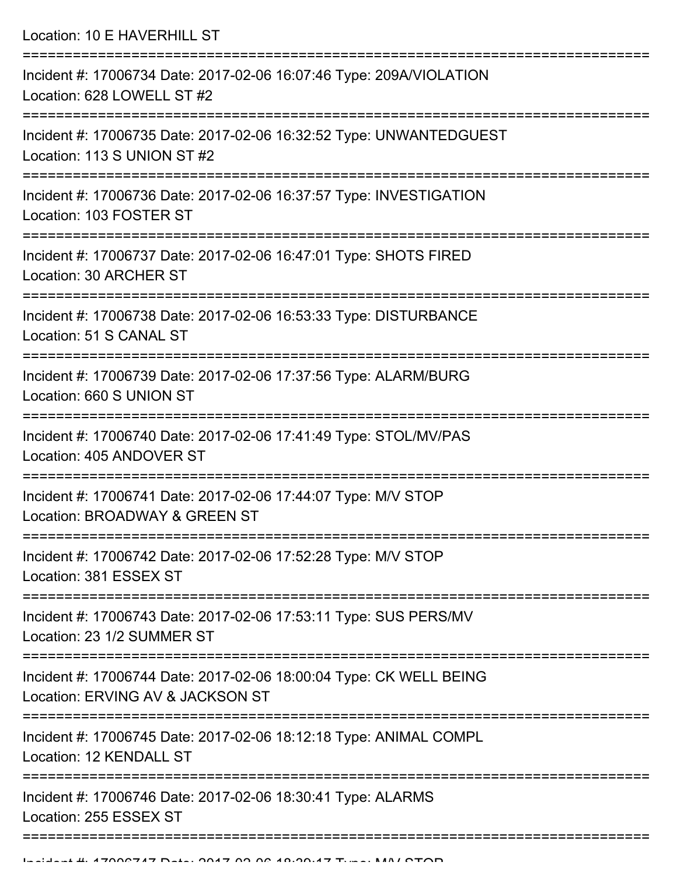Location: 10 E HAVERHILL ST =========================================================================== Incident #: 17006734 Date: 2017-02-06 16:07:46 Type: 209A/VIOLATION Location: 628 LOWELL ST #2 =========================================================================== Incident #: 17006735 Date: 2017-02-06 16:32:52 Type: UNWANTEDGUEST Location: 113 S UNION ST #2 =========================================================================== Incident #: 17006736 Date: 2017-02-06 16:37:57 Type: INVESTIGATION Location: 103 FOSTER ST =========================================================================== Incident #: 17006737 Date: 2017-02-06 16:47:01 Type: SHOTS FIRED Location: 30 ARCHER ST =========================================================================== Incident #: 17006738 Date: 2017-02-06 16:53:33 Type: DISTURBANCE Location: 51 S CANAL ST =========================================================================== Incident #: 17006739 Date: 2017-02-06 17:37:56 Type: ALARM/BURG Location: 660 S UNION ST =========================================================================== Incident #: 17006740 Date: 2017-02-06 17:41:49 Type: STOL/MV/PAS Location: 405 ANDOVER ST =========================================================================== Incident #: 17006741 Date: 2017-02-06 17:44:07 Type: M/V STOP Location: BROADWAY & GREEN ST =========================================================================== Incident #: 17006742 Date: 2017-02-06 17:52:28 Type: M/V STOP Location: 381 ESSEX ST =========================================================================== Incident #: 17006743 Date: 2017-02-06 17:53:11 Type: SUS PERS/MV Location: 23 1/2 SUMMER ST =========================================================================== Incident #: 17006744 Date: 2017-02-06 18:00:04 Type: CK WELL BEING Location: ERVING AV & JACKSON ST =========================================================================== Incident #: 17006745 Date: 2017-02-06 18:12:18 Type: ANIMAL COMPL Location: 12 KENDALL ST =========================================================================== Incident #: 17006746 Date: 2017-02-06 18:30:41 Type: ALARMS Location: 255 ESSEX ST ===========================================================================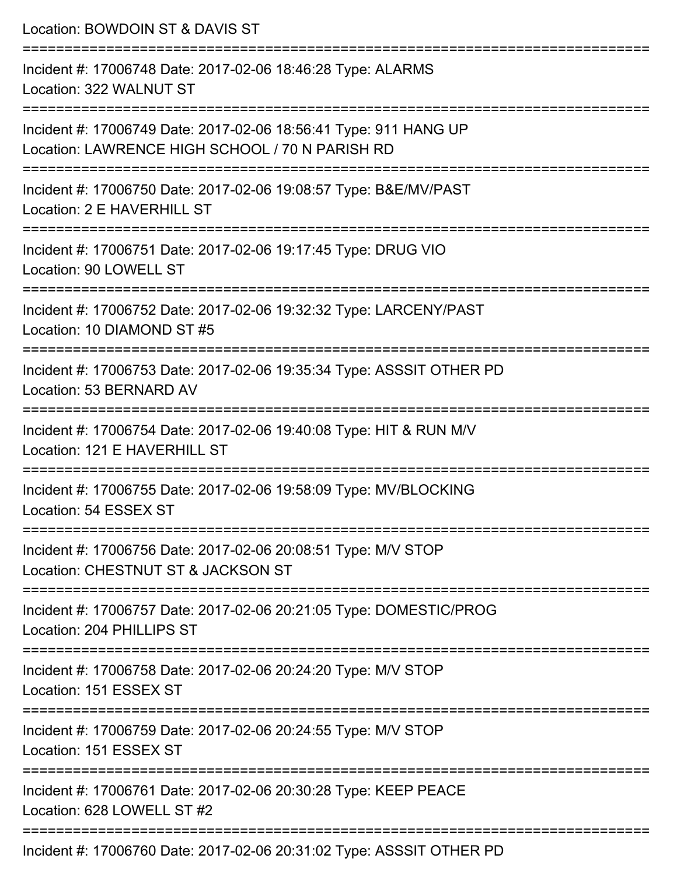| Location: BOWDOIN ST & DAVIS ST                                                                                             |
|-----------------------------------------------------------------------------------------------------------------------------|
| Incident #: 17006748 Date: 2017-02-06 18:46:28 Type: ALARMS<br>Location: 322 WALNUT ST                                      |
| Incident #: 17006749 Date: 2017-02-06 18:56:41 Type: 911 HANG UP<br>Location: LAWRENCE HIGH SCHOOL / 70 N PARISH RD         |
| Incident #: 17006750 Date: 2017-02-06 19:08:57 Type: B&E/MV/PAST<br>Location: 2 E HAVERHILL ST                              |
| Incident #: 17006751 Date: 2017-02-06 19:17:45 Type: DRUG VIO<br>Location: 90 LOWELL ST                                     |
| Incident #: 17006752 Date: 2017-02-06 19:32:32 Type: LARCENY/PAST<br>Location: 10 DIAMOND ST #5                             |
| Incident #: 17006753 Date: 2017-02-06 19:35:34 Type: ASSSIT OTHER PD<br>Location: 53 BERNARD AV                             |
| Incident #: 17006754 Date: 2017-02-06 19:40:08 Type: HIT & RUN M/V<br>Location: 121 E HAVERHILL ST                          |
| Incident #: 17006755 Date: 2017-02-06 19:58:09 Type: MV/BLOCKING<br>Location: 54 ESSEX ST<br>-------------------------      |
| Incident #: 17006756 Date: 2017-02-06 20:08:51 Type: M/V STOP<br>Location: CHESTNUT ST & JACKSON ST                         |
| Incident #: 17006757 Date: 2017-02-06 20:21:05 Type: DOMESTIC/PROG<br>Location: 204 PHILLIPS ST                             |
| :===============================<br>Incident #: 17006758 Date: 2017-02-06 20:24:20 Type: M/V STOP<br>Location: 151 ESSEX ST |
| ========================<br>Incident #: 17006759 Date: 2017-02-06 20:24:55 Type: M/V STOP<br>Location: 151 ESSEX ST         |
| Incident #: 17006761 Date: 2017-02-06 20:30:28 Type: KEEP PEACE<br>Location: 628 LOWELL ST #2                               |
| <b>D.L. 0047.00.00.00.04.00 T.L. 4000IT OTHER D</b>                                                                         |

Incident #: 17006760 Date: 2017-02-06 20:31:02 Type: ASSSIT OTHER PD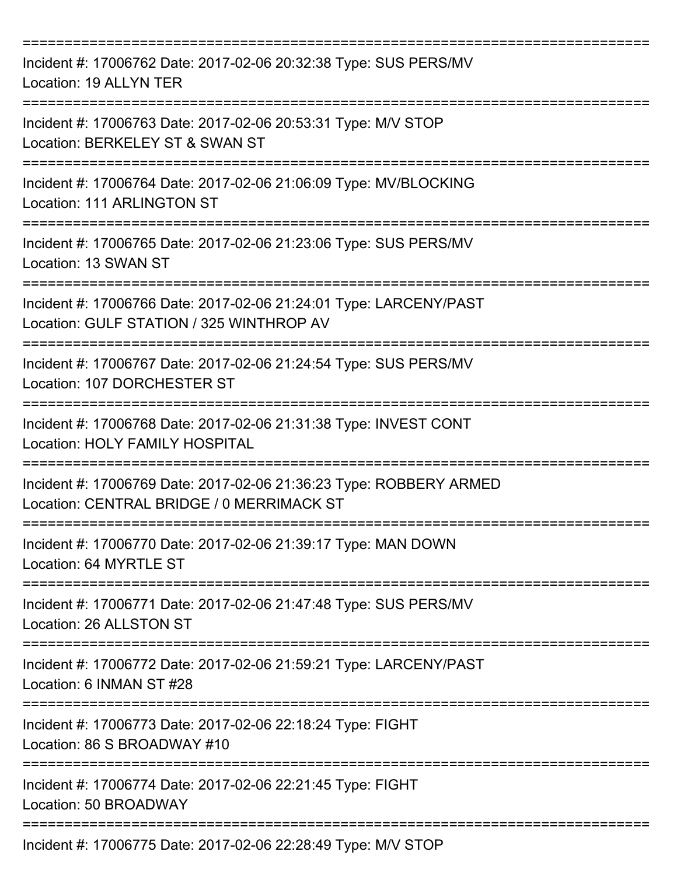| Incident #: 17006762 Date: 2017-02-06 20:32:38 Type: SUS PERS/MV<br>Location: 19 ALLYN TER                      |
|-----------------------------------------------------------------------------------------------------------------|
| Incident #: 17006763 Date: 2017-02-06 20:53:31 Type: M/V STOP<br>Location: BERKELEY ST & SWAN ST                |
| Incident #: 17006764 Date: 2017-02-06 21:06:09 Type: MV/BLOCKING<br>Location: 111 ARLINGTON ST                  |
| Incident #: 17006765 Date: 2017-02-06 21:23:06 Type: SUS PERS/MV<br>Location: 13 SWAN ST<br>__________________  |
| Incident #: 17006766 Date: 2017-02-06 21:24:01 Type: LARCENY/PAST<br>Location: GULF STATION / 325 WINTHROP AV   |
| Incident #: 17006767 Date: 2017-02-06 21:24:54 Type: SUS PERS/MV<br>Location: 107 DORCHESTER ST                 |
| Incident #: 17006768 Date: 2017-02-06 21:31:38 Type: INVEST CONT<br><b>Location: HOLY FAMILY HOSPITAL</b>       |
| Incident #: 17006769 Date: 2017-02-06 21:36:23 Type: ROBBERY ARMED<br>Location: CENTRAL BRIDGE / 0 MERRIMACK ST |
| Incident #: 17006770 Date: 2017-02-06 21:39:17 Type: MAN DOWN<br>Location: 64 MYRTLE ST                         |
| Incident #: 17006771 Date: 2017-02-06 21:47:48 Type: SUS PERS/MV<br>Location: 26 ALLSTON ST                     |
| Incident #: 17006772 Date: 2017-02-06 21:59:21 Type: LARCENY/PAST<br>Location: 6 INMAN ST #28<br>-------------- |
| Incident #: 17006773 Date: 2017-02-06 22:18:24 Type: FIGHT<br>Location: 86 S BROADWAY #10                       |
| Incident #: 17006774 Date: 2017-02-06 22:21:45 Type: FIGHT<br>Location: 50 BROADWAY                             |
| Incident #: 17006775 Date: 2017-02-06 22:28:49 Type: M/V STOP                                                   |